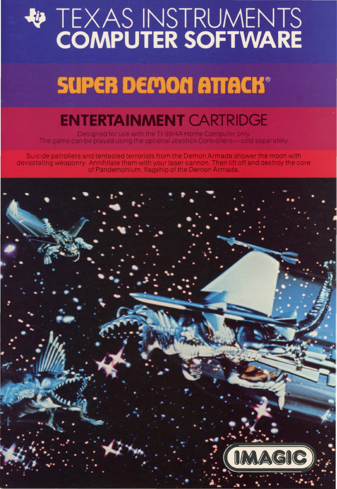# **WEXAS INSTRUMENTS**

## **SUPER DEMON ATTACK®**

### **ENTERTAINMENT CARTRIDGE**

Designed for use with the TI-99/4A Home Computer only The game can be played using the optional Joystick Controllers—sold separately

Suicide patrollers and tentacled terrorists from the Demon Armada shower the moon with devastating weaponry. Annihilate them with your laser cannon. Then lift off and destroy the core of Pandemonium, flagship of the Demon Armada

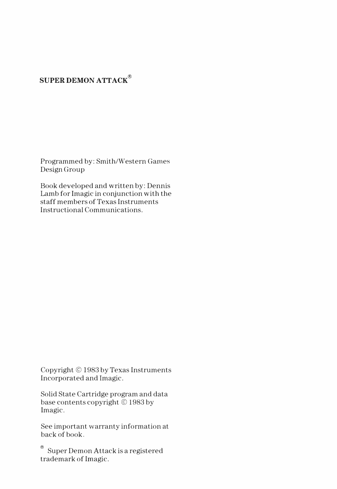#### **SUPER DEMON ATTACK®**

Programmed by: Smith/Western Games Design Group

Book developed and written by: Dennis Lamb for Imagic in conjunction with the staff members of Texas Instruments Instructional Communications.

Copyright© 1983 by Texas Instruments Incorporated and Imagic.

Solid State Cartridge program and data base contents copyright© 1983 by Imagic.

See important warranty information at back of book.

 $<sup>®</sup>$  Super Demon Attack is a registered</sup> trademark of Imagic.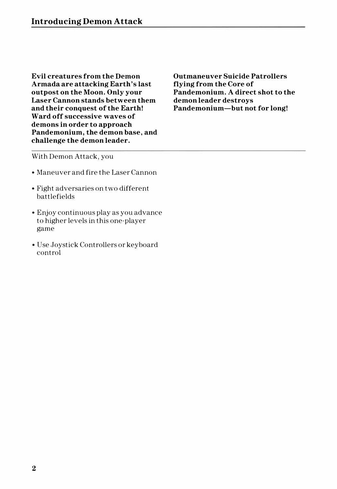**Evil creatures from the Demon Armada are attacking Earth's last outpost on the Moon. Only your Laser Cannon stands between them and their conquest of the Earth! Ward off successive waves of demons in order to approach Pandemonium, the demon base, and challenge the demon leader.** 

**Outmaneuver Suicide Patrollers flying from the Core of Pandemonium. A direct shot to the demon leader destroys Pandemonium-but not for long!** 

#### With Demon Attack, you

- Maneuver and fire the Laser Cannon
- Fight adversaries on two different battlefields
- Enjoy continuous play as you advance to higher levels in this one-player game
- Use Joystick Controllers or keyboard control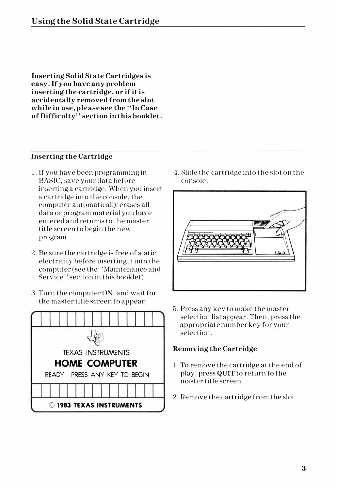**Inserting Solid State Cartridges is easy. If you have any problem inserting the cartridge, or if it is accidentally removed from the slot while in use, please see the "In Case of Difficulty" section in this booklet.** 

#### **Inserting the Cartridge**

- 1. If you have been programming in BASIC, save your data before inserting a cartridge. When you insert a cartridge into the console, the computer automatically erases all data or program material you have entered and returns to the master title screen to begin the new program.
- 2. Be sure the cartridge is free of static electricity before inserting it into the computer (see the' 'Maintenance and Service" section in this booklet).
- 3. Turn the computer ON, and wait for the master title screen to appear.



4. Slide the cartridge into the slot on the console.



5. Press any key to make the master selection list appear. Then, press the appropriate number key for your selection.

#### **Removing the Cartridge**

- 1. To remove the cartridge at the end of play, press **QUIT** to return to the master title screen.
- 2. Remove the cartridge from the slot.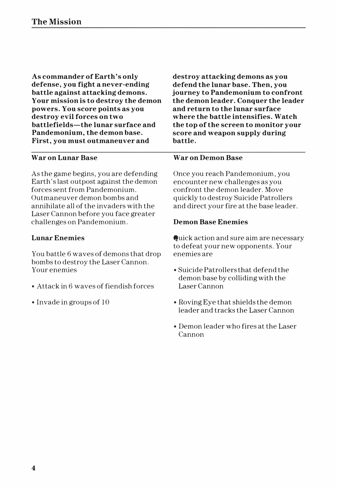**As commander of Earth's only defense, you fight a never-ending battle against attacking demons. Your mission is to destroy the demon powers. You score points as you destroy evil forces on two battlefields-the lunar surface and Pandemonium, the demon base. First, you must outmaneuver and** 

#### **War on Lunar Base**

As the game begins, you are defending Earth's last outpost against the demon forces sent from Pandemonium. Outmaneuver demon bombs and annihilate all of the invaders with the Laser Cannon before you face greater challenges on Pandemonium.

#### **Lunar Enemies**

You battle 6 waves of demons that drop bombs to destroy the Laser Cannon. Your enemies

- Attack in 6 waves of fiendish forces
- Invade in groups of 10

**destroy attacking demons as you defend the lunar base. Then, you journey to Pandemonium to confront the demon leader. Conquer the leader and return to the lunar surface where the battle intensifies. Watch the top of the screen to monitor your score and weapon supply during battle.** 

#### **War on Demon Base**

Once you reach Pandemonium, you encounter new challenges as you confront the demon leader. Move quickly to destroy Suicide Patrollers and direct your fire at the base leader.

#### **Demon Base Enemies**

Quick action and sure aim are necessary to defeat your new opponents. Your enemies are

- Suicide Patrollers that defend the demon base by colliding with the Laser Cannon
- Roving Eye that shields the demon leader and tracks the Laser Cannon
- Demon leader who fires at the Laser Cannon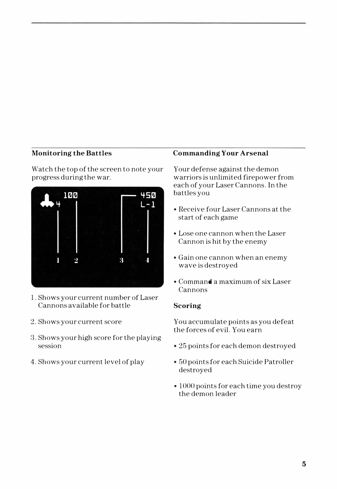#### **Monitoring the Battles**

Watch the top of the screen to note your progress during the war.



- 1. Shows your current number of Laser Cannons available for battle
- 2. Shows your current score
- 3. Shows your high score for the playing session
- 4. Shows your current level of play

#### **Commanding Your Arsenal**

Your defense against the demon warriors is unlimited firepower from each of your Laser Cannons. In the battles you

- Receive four Laser Cannons at the start of each game
- Lose one cannon when the Laser Cannon is hit by the enemy
- Gain one cannon when an enemy wave is destroyed
- Command a maximum of six Laser Cannons

#### **Scoring**

You accumulate points as you defeat the forces of evil. You earn

- 25 points for each demon destroyed
- 50 points for each Suicide Patroller destroyed
- 1000 points for each time you destroy the demon leader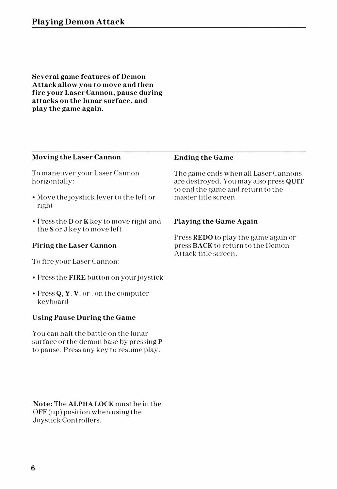**Several game features of Demon Attack allow you to move and then fire your Laser Cannon, pause during attacks on the lunar surface, and play the game again.** 

#### **Moving the Laser Cannon**

To maneuver your Laser Cannon horizontally:

- Move the joystick lever to the left or right
- Press the Dor K key to move right and the Sor J key to move left

#### **Firing the Laser Cannon**

To fire your Laser Cannon:

- Press the **FIRE** button on your joystick
- Press Q, Y, V, or. on the computer keyboard

#### **Using Pause During the Game**

You can halt the battle on the lunar surface or the demon base by pressing P to pause. Press any key to resume play.

**Note:** The **ALPHA LOCK** must be in the OFF (up) position when using the Joystick Controllers.

#### **Ending the Game**

The game ends when all Laser Cannons are destroyed. You may also press **QUIT**  to end the game and return to the master title screen.

#### **Playing the Game Again**

Press **REDO** to play the game again or press **BACK** to return to the Demon Attack title screen.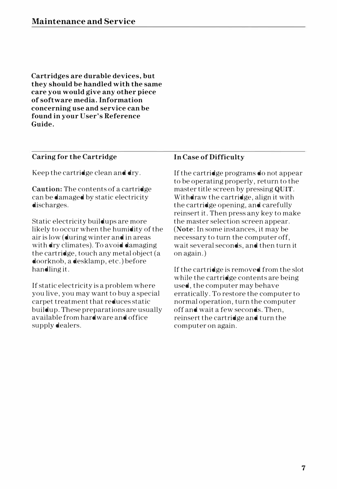**Cartridges are durable devices, but they should be handled with the same care you would give any other piece of software media. Information concerning use and service can be found in your User's Reference Guide.** 

#### **Caring for the Cartridge**

Keep the cartridge clean and dry.

**Caution:** The contents of a cartridge can be damaged by static electricity discharges.

Static electricity buildups are more likely to occur when the humidity of the air is low (during winter and in areas with dry climates). To avoid damaging the cartridge, touch any metal object (a doorknob, a desklamp, etc.) before handling it.

If static electricity is a problem where you live, you may want to buy a special carpet treatment that reduces static buildup. These preparations are usually available from hardware and office supply dealers.

#### **In Case of Difficulty**

If the cartridge programs do not appear to be operating properly, return to the master title screen by pressing **QUIT.**  Withdraw the cartridge, align it with the cartridge opening, and carefully reinsert it. Then press any key to make the master selection screen appear. **(Note:** In some instances, it may be necessary to turn the computer off, wait several seconds, and then turn it on again.)

If the cartridge is removed from the slot while the cartridge contents are being used, the computer may behave erratically. To restore the computer to normal operation, turn the computer off and wait a few seconds. Then, reinsert the cartridge and turn the computer on again.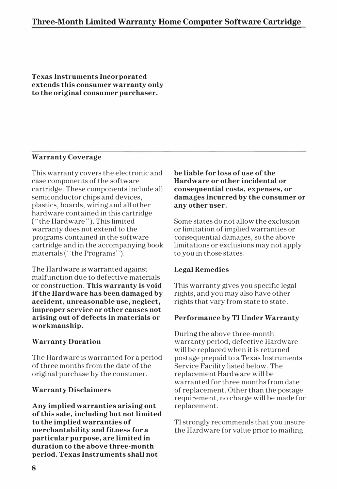**Texas Instruments Incorporated extends this consumer warranty only to the original consumer purchaser.** 

#### **Warranty Coverage**

This warranty covers the electronic and case components of the software cartridge. These components include all semiconductor chips and devices, plastics, boards, wiring and all other hardware contained in this cartridge ("the Hardware"). This limited warranty does not extend to the programs contained in the software cartridge and in the accompanying book materials ("the Programs").

The Hardware is warranted against malfunction due to defective materials or construction. **This warranty is void if the Hardware has been damaged by accident, unreasonable use, neglect, improper service or other causes not arising out of defects in materials or workmanship.** 

#### **Warranty Duration**

The Hardware is warranted for a period of three months from the date of the original purchase by the consumer.

#### **Warranty Disclaimers**

**Any implied warranties arising out of this sale, including but not limited to the implied warranties of merchantability and fitness for a particular purpose, are limited in duration to the above three-month period. Texas Instruments shall not** 

**be liable for loss of use of the Hardware or other incidental or consequential costs, expenses, or damages incurred by the consumer or any other user.** 

Some states do not allow the exclusion or limitation of implied warranties or consequential damages, so the above limitations or exclusions may not apply to you in those states.

#### **Legal Remedies**

This warranty gives you specific legal rights, and you may also have other rights that vary from state to state.

#### **Performance by TI Under Warranty**

During the above three-month warranty period, defective Hardware will be replaced when it is returned postage prepaid to a Texas Instruments Service Facility listed below. The replacement Hardware will be warranted for three months from date of replacement. Other than the postage requirement, no charge will be made for replacement.

TI strongly recommends that you insure the Hardware for value prior to mailing.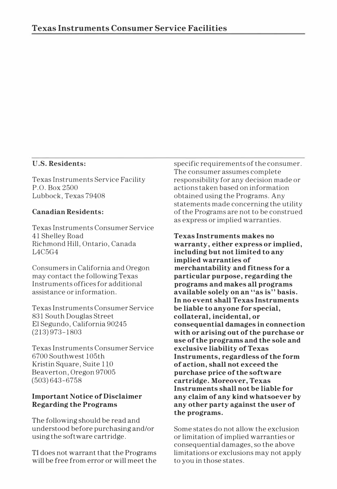#### **U.S. Residents:**

Texas Instruments Service Facility P.O. Box 2500 Lubbock, Texas 79408

#### **Canadian Residents:**

Texas Instruments Consumer Service 41 Shelley Road Richmond Hill, Ontario, Canada L4C5G4

Consumers in California and Oregon may contact the following Texas Instruments offices for additional assistance or information.

Texas Instruments Consumer Service 831 South Douglas Street El Segundo, California 90245 (213) 973-1803

Texas Instruments Consumer Service 6700 Southwest 105th Kristin Square, Suite 110 Beaverton, Oregon 97005 (503)643-6758

#### **Important Notice of Disclaimer Regarding the Programs**

The following should be read and understood before purchasing and/or using the software cartridge.

TI does not warrant that the Programs will be free from error or will meet the specific requirements of the consumer. The consumer assumes complete responsibility for any decision made or actions taken based on information obtained using the Programs. Any statements made concerning the utility of the Programs are not to be construed as express or implied warranties.

**Texas Instruments makes no warranty, either express or implied, including but not limited to any implied warranties of merchantability and fitness for a particular purpose, regarding the programs and makes all programs available solely on an "as is" basis. In no event shall Texas Instruments be liable to anyone for special, collateral, incidental, or consequential damages in connection with or arising out of the purchase or use of the programs and the sole and exclusive liability of Texas Instruments, regardless of the form of action, shall not exceed the purchase price of the software cartridge. Moreover, Texas Instruments shall not be liable for any claim of any kind whatsoever by any other party against the user of the programs.** 

Some states do not allow the exclusion or limitation of implied warranties or consequential damages, so the above limitations or exclusions may not apply to you in those states.